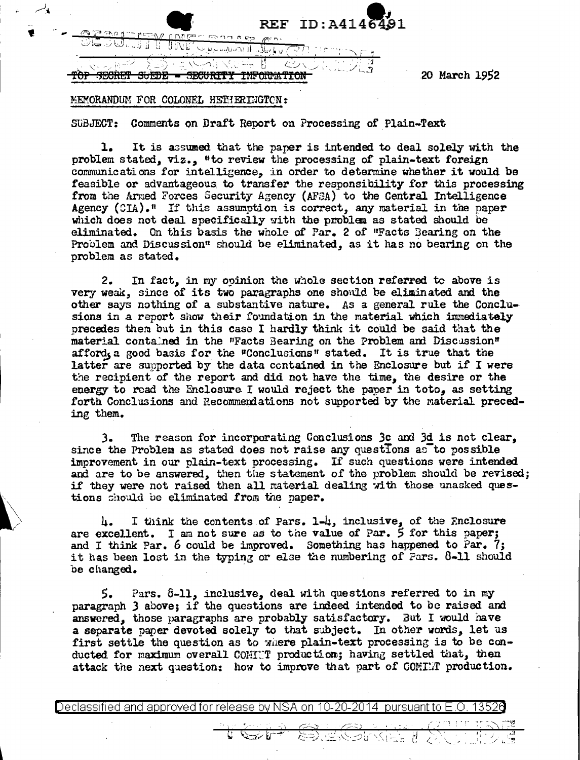| REF $ID: A4146$                                               | $\Delta$ 91 |
|---------------------------------------------------------------|-------------|
| כיש<br>$\sim$                                                 |             |
| 21. 14<br>$\sim$ 0.00 $\pm$<br>and the contract of the<br>- 7 |             |

20 March 1952

## MEMORANDUM FOR COLONEL HETHERINGTCN:

SUBJECT: Comments on Draft Report on Processing of Plain-Text

1. It is assumed that the paper is intended to deal solely with the problem stated, viz., "to review the processing of plain-text foreign communications for intelligence, in order to determine whether it would be feasible or advantageous to transfer the responsibility for this processing from the Arned Forces Security Agency (AFSA) to the Central Intelligence Agency (CIA).<sup> $n$ </sup> If this assumption is correct, any material in the paper which does not deal specifically with the problem as stated should be eliminated. On this basis the whole of Par. 2 of "Facts 3earing on the Problem and Discussion" should be eliminated, as it has no bearing on the problem as stated.

2. In fact, in my opinion the whole section referred to above is very weak, since of its two paragraphs one shonld be eliminated and the other says nothing of a substantive nature. As a general rule the Conclusions in a report show their foundation in the material which immediately precedes them but in this case I hardly think it could be said that the material contained in the "Facts Bearing on the Problem and Discussion" afford. a good basis for the "Conclusions" stated. It is true that the latter are supported by the data contained in the Enclosure but if I were the recipient of the report and did not have the time, the desire or the energy to read the Enclosure I would reject the paper in toto. as setting forth Conclusions and Recommendations not supported by the material preceding them.

J. The reason for incorporating Conclusions 3c and 3d is not clear, since the Problem as stated does not raise any questions as to possible improvement in our plain-text processing. If such questions were intended and are to be answered, then the statement of the problem should be revised; if they were not raised then all material dealing with those unasked questions should be eliminated from the paper.

4. I think the contents of Pars. 1-4, inclusive, of the Enclosure are excellent. I am not sure as to the value of Par.  $\frac{2}{5}$  for this paper; and I think Par.  $6$  could be improved. Something has happened to Par. 7; it has been lost in the typing or else the numbering of Pars. 8-11 should be changed.

 $5.$  Pars.  $8-11$ , inclusive, deal with questions referred to in my paragraph 3 above; if the questions are indeed intended to be raised and answered, those paragraphs are probably satisfactory. But I would have a separate paper devoted solely to that subject. In other words, let us first settle the question as to where plain-text processing is to be conducted for maximum overall COHINT production; having settled that, then attack the next question: how to improve that part of COMINT production.

Declassified and approved for release by NSA on 10-20-2014 pursuant to E.O. 1352

. \_ . " \_ . - \_ \_ \_ \_ . ,-' ' ( 1 r • r • -, ...-- - .........\_ ------Y!! <sup>~</sup>*/* . • . ) 0=Y c::~~) · ' --,f I ' . ' ·. --, \' c'-- 1 Gt" . . . ~. . -·~ • - <sup>J</sup>< '-' . J' ' . <.::.:.:J --"::--~c.(··c~-. t·l ·, . . . .. / .3 - l \_\_\_ , -~- '-'~---\_?) <sup>I</sup>*z* '-...\_\_,- , \_\_ '\ \_\_ / i.\_..\_~